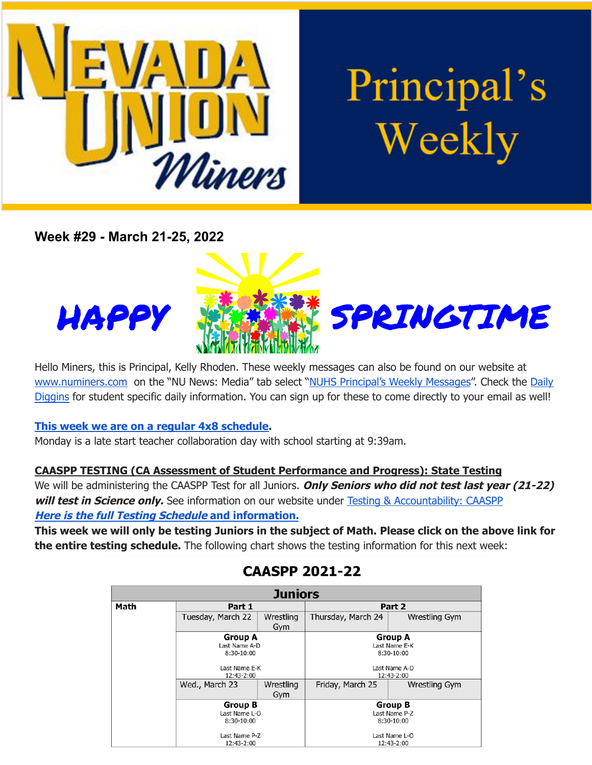

# Principal's Weekly

**Week #29 - March 21-25, 2022**





Hello Miners, this is Principal, Kelly Rhoden. These weekly messages can also be found on our website at [www.numiners.com](http://www.numiners.com) on the "NU News: Media" tab select "NUHS [Principal's](https://nevadaunion.njuhsd.com/NU-NewsMedia/NUHS-Principals-Weekly-Messages/index.html) Weekly Messages". Check the [Daily](https://nevadaunion.njuhsd.com/NU-NewsMedia/Daily-Diggins-Bulletin/index.html) [Diggins](https://nevadaunion.njuhsd.com/NU-NewsMedia/Daily-Diggins-Bulletin/index.html) for student specific daily information. You can sign up for these to come directly to your email as well!

#### **This week we are on a regular 4x8 [schedule.](https://nevadaunion.njuhsd.com/documents/Bell%20Schedules/Bell-Schedule-2021-2022-NUHS-4x8.pdf)**

Monday is a late start teacher collaboration day with school starting at 9:39am.

**CAASPP TESTING (CA Assessment of Student Performance and Progress): State Testing** We will be administering the CAASPP Test for all Juniors. **Only Seniors who did not test last year (21-22) will test in Science only.** See information on our website under Testing & [Accountability:](https://nevadaunion.njuhsd.com/About-Us/Testing--Accountability/Junior-CAASPP--Senior-CAST-Test-Information/index.html) CAASPP **Here is the full Testing Schedule and [information.](https://nevadaunion.njuhsd.com/About-Us/Testing--Accountability/Junior-CAASPP--Senior-CAST-Test-Information/index.html)**

This week we will only be testing Juniors in the subject of Math. Please click on the above link for

**the entire testing schedule.** The following chart shows the testing information for this next week:

| <b>Juniors</b> |                   |           |                    |               |
|----------------|-------------------|-----------|--------------------|---------------|
| Math           | Part 1            |           | Part 2             |               |
|                | Tuesday, March 22 | Wrestling | Thursday, March 24 | Wrestling Gym |
|                |                   | Gym       |                    |               |
|                | <b>Group A</b>    |           | <b>Group A</b>     |               |
|                | Last Name A-D     |           | Last Name E-K      |               |
|                | 8:30-10:00        |           | 8:30-10:00         |               |
|                | Last Name E-K     |           | Last Name A-D      |               |
|                | 12:43-2:00        |           | 12:43-2:00         |               |
|                | Wed., March 23    | Wrestling | Friday, March 25   | Wrestling Gym |
|                |                   | Gym       |                    |               |
|                | <b>Group B</b>    |           | <b>Group B</b>     |               |
|                | Last Name L-O     |           | Last Name P-Z      |               |
|                | 8:30-10:00        |           | 8:30-10:00         |               |
|                | Last Name P-Z     |           | Last Name L-O      |               |
|                | 12:43-2:00        |           |                    | 12:43-2:00    |

# **CAASPP 2021-22**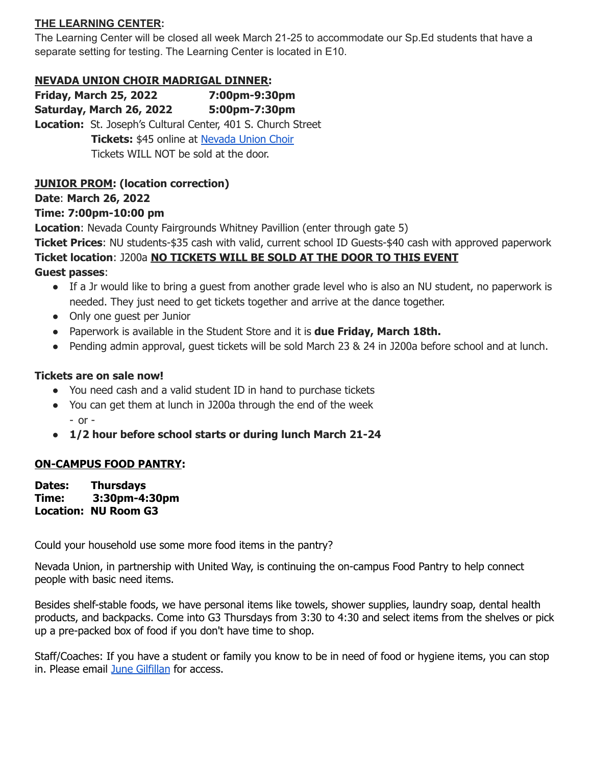#### **THE LEARNING CENTER:**

The Learning Center will be closed all week March 21-25 to accommodate our Sp.Ed students that have a separate setting for testing. The Learning Center is located in E10.

#### **NEVADA UNION CHOIR MADRIGAL DINNER:**

**Friday, March 25, 2022 7:00pm-9:30pm Saturday, March 26, 2022 5:00pm-7:30pm Location:** St. Joseph's Cultural Center, 401 S. Church Street **Tickets:** \$45 online at [Nevada](http://www.nuchoir.org/) Union Choir Tickets WILL NOT be sold at the door.

#### **JUNIOR PROM: (location correction)**

**Date**: **March 26, 2022**

#### **Time: 7:00pm-10:00 pm**

**Location**: Nevada County Fairgrounds Whitney Pavillion (enter through gate 5)

**Ticket Prices**: NU students-\$35 cash with valid, current school ID Guests-\$40 cash with approved paperwork **Ticket location**: J200a **NO TICKETS WILL BE SOLD AT THE DOOR TO THIS EVENT**

**Guest passes**:

- If a Jr would like to bring a guest from another grade level who is also an NU student, no paperwork is needed. They just need to get tickets together and arrive at the dance together.
- Only one quest per Junior
- Paperwork is available in the Student Store and it is **due Friday, March 18th.**
- Pending admin approval, quest tickets will be sold March 23 & 24 in J200a before school and at lunch.

#### **Tickets are on sale now!**

- You need cash and a valid student ID in hand to purchase tickets
- You can get them at lunch in J200a through the end of the week  $-$  or  $-$
- **● 1/2 hour before school starts or during lunch March 21-24**

#### **ON-CAMPUS FOOD PANTRY:**

**Dates: Thursdays Time: 3:30pm-4:30pm Location: NU Room G3**

Could your household use some more food items in the pantry?

Nevada Union, in partnership with United Way, is continuing the on-campus Food Pantry to help connect people with basic need items.

Besides shelf-stable foods, we have personal items like towels, shower supplies, laundry soap, dental health products, and backpacks. Come into G3 Thursdays from 3:30 to 4:30 and select items from the shelves or pick up a pre-packed box of food if you don't have time to shop.

Staff/Coaches: If you have a student or family you know to be in need of food or hygiene items, you can stop in. Please email June [Gilfillan](mailto:Jgilfillan@njuhsd.com) for access.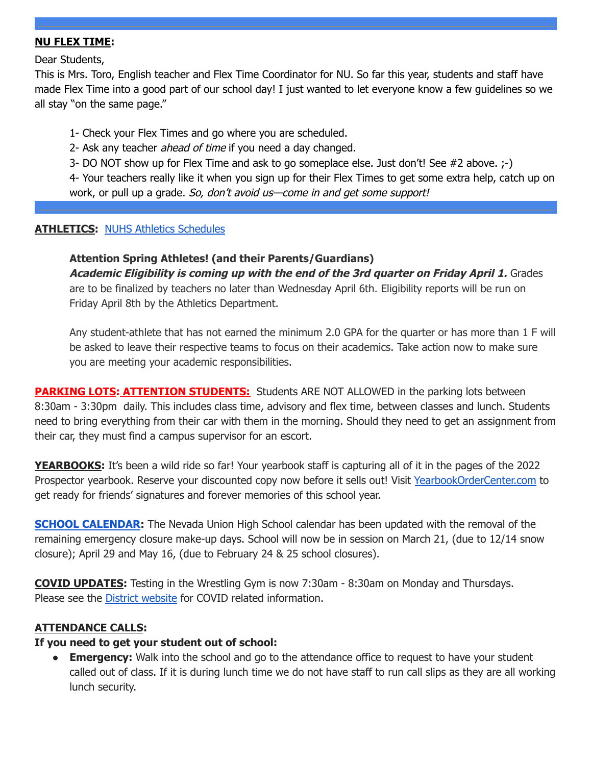#### **NU FLEX TIME:**

Dear Students,

This is Mrs. Toro, English teacher and Flex Time Coordinator for NU. So far this year, students and staff have made Flex Time into a good part of our school day! I just wanted to let everyone know a few guidelines so we all stay "on the same page."

1- Check your Flex Times and go where you are scheduled.

2- Ask any teacher ahead of time if you need a day changed.

3- DO NOT show up for Flex Time and ask to go someplace else. Just don't! See #2 above. ;-)

4- Your teachers really like it when you sign up for their Flex Times to get some extra help, catch up on work, or pull up a grade. So, don't avoid us—come in and get some support!

#### **ATHLETICS:** NUHS Athletics [Schedules](https://nevadaunion.njuhsd.com/Athletics/Sports-Calendar--Schedules/index.html)

#### **Attention Spring Athletes! (and their Parents/Guardians)**

**Academic Eligibility is coming up with the end of the 3rd quarter on Friday April 1.** Grades are to be finalized by teachers no later than Wednesday April 6th. Eligibility reports will be run on Friday April 8th by the Athletics Department.

Any student-athlete that has not earned the minimum 2.0 GPA for the quarter or has more than 1 F will be asked to leave their respective teams to focus on their academics. Take action now to make sure you are meeting your academic responsibilities.

**PARKING LOTS: ATTENTION STUDENTS:** Students ARE NOT ALLOWED in the parking lots between 8:30am - 3:30pm daily. This includes class time, advisory and flex time, between classes and lunch. Students need to bring everything from their car with them in the morning. Should they need to get an assignment from their car, they must find a campus supervisor for an escort.

**YEARBOOKS:** It's been a wild ride so far! Your yearbook staff is capturing all of it in the pages of the 2022 Prospector yearbook. Reserve your discounted copy now before it sells out! Visit [YearbookOrderCenter.com](https://www.yearbookordercenter.com/jobSearch/displayHome) to get ready for friends' signatures and forever memories of this school year.

**SCHOOL [CALENDAR](https://nevadaunion.njuhsd.com/Information/Calendar-School-Year-2021-2022/index.html):** The Nevada Union High School calendar has been updated with the removal of the remaining emergency closure make-up days. School will now be in session on March 21, (due to 12/14 snow closure); April 29 and May 16, (due to February 24 & 25 school closures).

**COVID UPDATES:** Testing in the Wrestling Gym is now 7:30am - 8:30am on Monday and Thursdays. Please see the District [website](http://njuhsd.com) for COVID related information.

#### **ATTENDANCE CALLS:**

#### **If you need to get your student out of school:**

**Emergency:** Walk into the school and go to the attendance office to request to have your student called out of class. If it is during lunch time we do not have staff to run call slips as they are all working lunch security.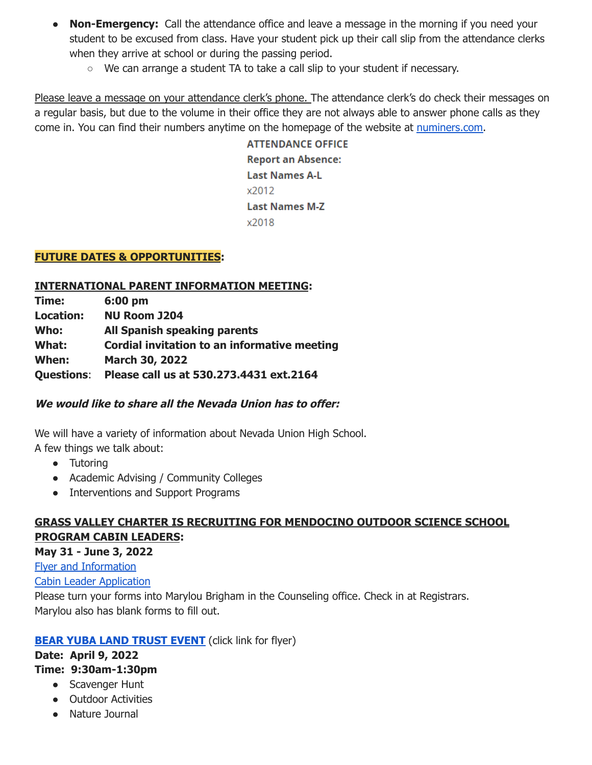- **Non-Emergency:** Call the attendance office and leave a message in the morning if you need your student to be excused from class. Have your student pick up their call slip from the attendance clerks when they arrive at school or during the passing period.
	- $\circ$  We can arrange a student TA to take a call slip to your student if necessary.

Please leave a message on your attendance clerk's phone. The attendance clerk's do check their messages on a regular basis, but due to the volume in their office they are not always able to answer phone calls as they come in. You can find their numbers anytime on the homepage of the website at [numiners.com.](https://nevadaunion.njuhsd.com/)

> **ATTENDANCE OFFICE Report an Absence: Last Names A-L** x2012 **Last Names M-Z** x2018

#### **FUTURE DATES & OPPORTUNITIES:**

#### **INTERNATIONAL PARENT INFORMATION MEETING:**

| Time:             | 6:00 pm                                      |  |
|-------------------|----------------------------------------------|--|
| <b>Location:</b>  | <b>NU Room J204</b>                          |  |
| Who:              | <b>All Spanish speaking parents</b>          |  |
| What:             | Cordial invitation to an informative meeting |  |
| When:             | March 30, 2022                               |  |
| <b>Questions:</b> | Please call us at 530.273.4431 ext.2164      |  |

#### **We would like to share all the Nevada Union has to offer:**

We will have a variety of information about Nevada Union High School. A few things we talk about:

- Tutoring
- Academic Advising / Community Colleges
- Interventions and Support Programs

## **GRASS VALLEY CHARTER IS RECRUITING FOR MENDOCINO OUTDOOR SCIENCE SCHOOL PROGRAM CABIN LEADERS:**

#### **May 31 - June 3, 2022**

Flyer and [Information](https://drive.google.com/file/d/1Myk3e4oi7FKtGT6e0DeP2Gl7uaF5mpi5/view?usp=sharing)

Cabin Leader [Application](https://drive.google.com/file/d/1XBR_iNiixO7R7puvXCJkDse-gdj0OaLa/view?usp=sharing)

Please turn your forms into Marylou Brigham in the Counseling office. Check in at Registrars. Marylou also has blank forms to fill out.

### **BEAR YUBA LAND [TRUST](https://drive.google.com/file/d/1nls3SFoSVH3dV6AHEqbRTx7WuVuO5fxu/view?usp=sharing) EVENT** (click link for flyer)

#### **Date: April 9, 2022 Time: 9:30am-1:30pm**

- Scavenger Hunt
- Outdoor Activities
- Nature Journal